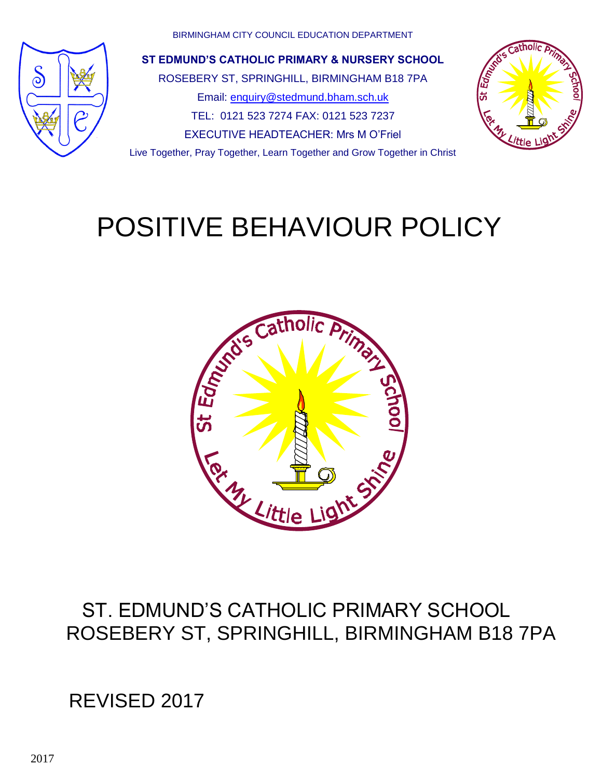

BIRMINGHAM CITY COUNCIL EDUCATION DEPARTMENT

**ST EDMUND'S CATHOLIC PRIMARY & NURSERY SCHOOL** ROSEBERY ST, SPRINGHILL, BIRMINGHAM B18 7PA Email: [enquiry@stedmund.bham.sch.uk](mailto:enquiry@stedmund.bham.sch.uk) TEL: 0121 523 7274 FAX: 0121 523 7237 EXECUTIVE HEADTEACHER: Mrs M O"Friel Live Together, Pray Together, Learn Together and Grow Together in Christ



# POSITIVE BEHAVIOUR POLICY



### ST. EDMUND"S CATHOLIC PRIMARY SCHOOL ROSEBERY ST, SPRINGHILL, BIRMINGHAM B18 7PA

# REVISED 2017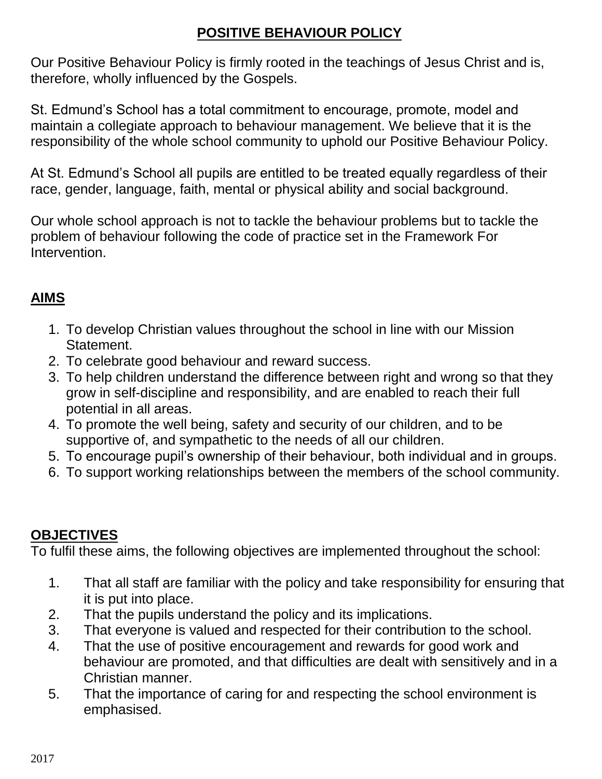### **POSITIVE BEHAVIOUR POLICY**

Our Positive Behaviour Policy is firmly rooted in the teachings of Jesus Christ and is, therefore, wholly influenced by the Gospels.

St. Edmund"s School has a total commitment to encourage, promote, model and maintain a collegiate approach to behaviour management. We believe that it is the responsibility of the whole school community to uphold our Positive Behaviour Policy.

At St. Edmund"s School all pupils are entitled to be treated equally regardless of their race, gender, language, faith, mental or physical ability and social background.

Our whole school approach is not to tackle the behaviour problems but to tackle the problem of behaviour following the code of practice set in the Framework For Intervention.

### **AIMS**

- 1. To develop Christian values throughout the school in line with our Mission Statement.
- 2. To celebrate good behaviour and reward success.
- 3. To help children understand the difference between right and wrong so that they grow in self-discipline and responsibility, and are enabled to reach their full potential in all areas.
- 4. To promote the well being, safety and security of our children, and to be supportive of, and sympathetic to the needs of all our children.
- 5. To encourage pupil"s ownership of their behaviour, both individual and in groups.
- 6. To support working relationships between the members of the school community.

### **OBJECTIVES**

To fulfil these aims, the following objectives are implemented throughout the school:

- 1. That all staff are familiar with the policy and take responsibility for ensuring that it is put into place.
- 2. That the pupils understand the policy and its implications.
- 3. That everyone is valued and respected for their contribution to the school.
- 4. That the use of positive encouragement and rewards for good work and behaviour are promoted, and that difficulties are dealt with sensitively and in a Christian manner.
- 5. That the importance of caring for and respecting the school environment is emphasised.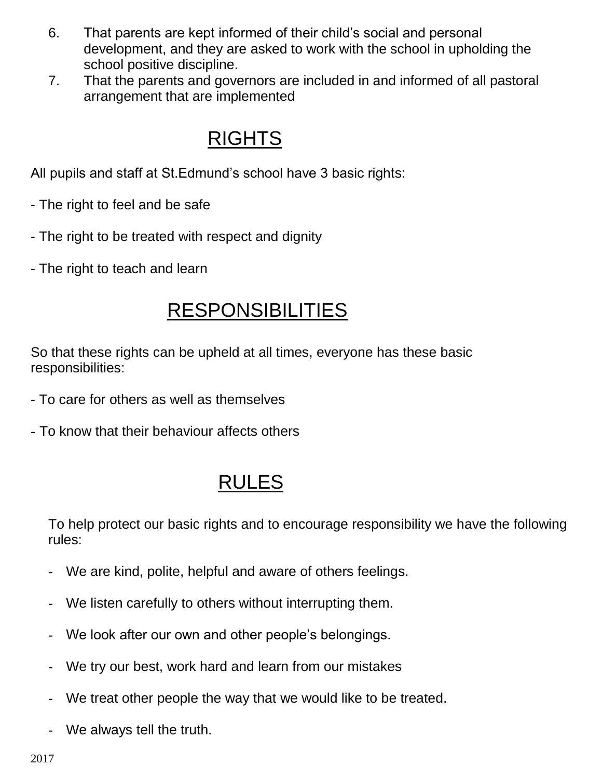- 6. That parents are kept informed of their child"s social and personal development, and they are asked to work with the school in upholding the school positive discipline.
- 7. That the parents and governors are included in and informed of all pastoral arrangement that are implemented

### RIGHTS

All pupils and staff at St.Edmund"s school have 3 basic rights:

- The right to feel and be safe
- The right to be treated with respect and dignity
- The right to teach and learn

### **RESPONSIBILITIES**

So that these rights can be upheld at all times, everyone has these basic responsibilities:

- To care for others as well as themselves
- To know that their behaviour affects others

# RULES

To help protect our basic rights and to encourage responsibility we have the following rules:

- We are kind, polite, helpful and aware of others feelings.
- We listen carefully to others without interrupting them.
- We look after our own and other people's belongings.
- We try our best, work hard and learn from our mistakes
- We treat other people the way that we would like to be treated.
- We always tell the truth.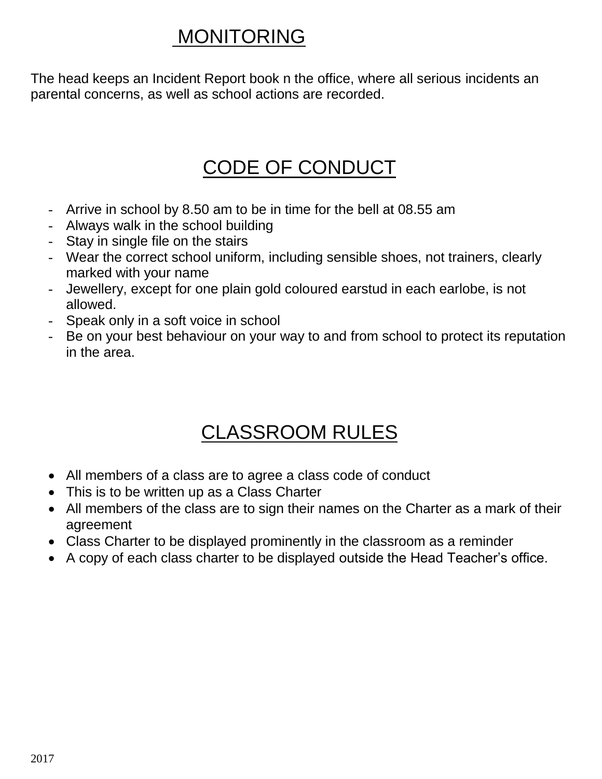### MONITORING

The head keeps an Incident Report book n the office, where all serious incidents an parental concerns, as well as school actions are recorded.

### CODE OF CONDUCT

- Arrive in school by 8.50 am to be in time for the bell at 08.55 am
- Always walk in the school building
- Stay in single file on the stairs
- Wear the correct school uniform, including sensible shoes, not trainers, clearly marked with your name
- Jewellery, except for one plain gold coloured earstud in each earlobe, is not allowed.
- Speak only in a soft voice in school
- Be on your best behaviour on your way to and from school to protect its reputation in the area.

# CLASSROOM RULES

- All members of a class are to agree a class code of conduct
- This is to be written up as a Class Charter
- All members of the class are to sign their names on the Charter as a mark of their agreement
- Class Charter to be displayed prominently in the classroom as a reminder
- A copy of each class charter to be displayed outside the Head Teacher"s office.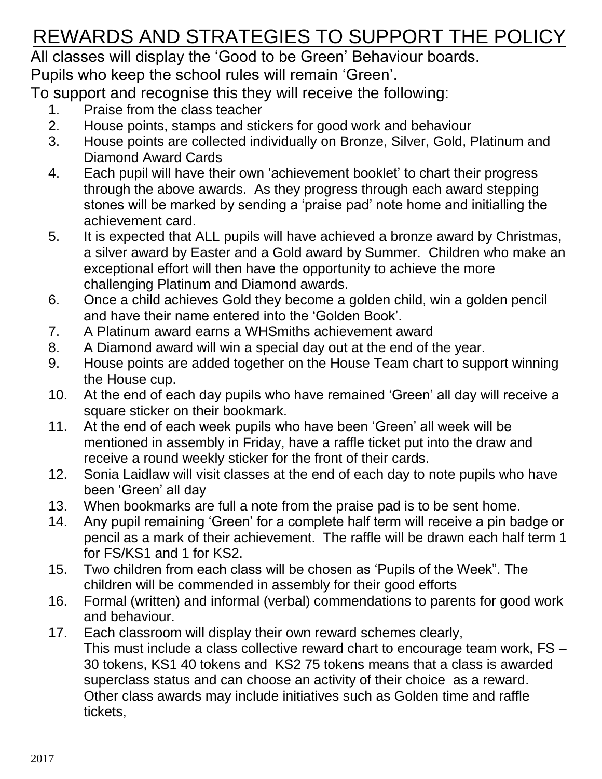# REWARDS AND STRATEGIES TO SUPPORT THE POLICY

All classes will display the "Good to be Green" Behaviour boards.

Pupils who keep the school rules will remain "Green".

To support and recognise this they will receive the following:

- 1. Praise from the class teacher
- 2. House points, stamps and stickers for good work and behaviour
- 3. House points are collected individually on Bronze, Silver, Gold, Platinum and Diamond Award Cards
- 4. Each pupil will have their own "achievement booklet" to chart their progress through the above awards. As they progress through each award stepping stones will be marked by sending a "praise pad" note home and initialling the achievement card.
- 5. It is expected that ALL pupils will have achieved a bronze award by Christmas, a silver award by Easter and a Gold award by Summer. Children who make an exceptional effort will then have the opportunity to achieve the more challenging Platinum and Diamond awards.
- 6. Once a child achieves Gold they become a golden child, win a golden pencil and have their name entered into the "Golden Book".
- 7. A Platinum award earns a WHSmiths achievement award
- 8. A Diamond award will win a special day out at the end of the year.
- 9. House points are added together on the House Team chart to support winning the House cup.
- 10. At the end of each day pupils who have remained "Green" all day will receive a square sticker on their bookmark.
- 11. At the end of each week pupils who have been "Green" all week will be mentioned in assembly in Friday, have a raffle ticket put into the draw and receive a round weekly sticker for the front of their cards.
- 12. Sonia Laidlaw will visit classes at the end of each day to note pupils who have been "Green" all day
- 13. When bookmarks are full a note from the praise pad is to be sent home.
- 14. Any pupil remaining "Green" for a complete half term will receive a pin badge or pencil as a mark of their achievement. The raffle will be drawn each half term 1 for FS/KS1 and 1 for KS2.
- 15. Two children from each class will be chosen as "Pupils of the Week". The children will be commended in assembly for their good efforts
- 16. Formal (written) and informal (verbal) commendations to parents for good work and behaviour.
- 17. Each classroom will display their own reward schemes clearly, This must include a class collective reward chart to encourage team work, FS – 30 tokens, KS1 40 tokens and KS2 75 tokens means that a class is awarded superclass status and can choose an activity of their choice as a reward. Other class awards may include initiatives such as Golden time and raffle tickets,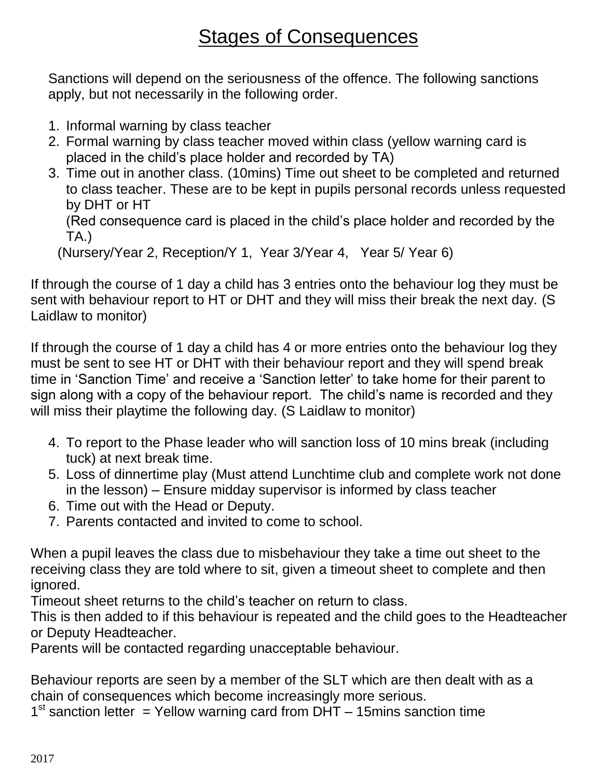### **Stages of Consequences**

Sanctions will depend on the seriousness of the offence. The following sanctions apply, but not necessarily in the following order.

- 1. Informal warning by class teacher
- 2. Formal warning by class teacher moved within class (yellow warning card is placed in the child"s place holder and recorded by TA)
- 3. Time out in another class. (10mins) Time out sheet to be completed and returned to class teacher. These are to be kept in pupils personal records unless requested by DHT or HT

```
(Red consequence card is placed in the child"s place holder and recorded by the 
TA.)
```
(Nursery/Year 2, Reception/Y 1, Year 3/Year 4, Year 5/ Year 6)

If through the course of 1 day a child has 3 entries onto the behaviour log they must be sent with behaviour report to HT or DHT and they will miss their break the next day. (S Laidlaw to monitor)

If through the course of 1 day a child has 4 or more entries onto the behaviour log they must be sent to see HT or DHT with their behaviour report and they will spend break time in "Sanction Time" and receive a "Sanction letter" to take home for their parent to sign along with a copy of the behaviour report. The child"s name is recorded and they will miss their playtime the following day. (S Laidlaw to monitor)

- 4. To report to the Phase leader who will sanction loss of 10 mins break (including tuck) at next break time.
- 5. Loss of dinnertime play (Must attend Lunchtime club and complete work not done in the lesson) – Ensure midday supervisor is informed by class teacher
- 6. Time out with the Head or Deputy.
- 7. Parents contacted and invited to come to school.

When a pupil leaves the class due to misbehaviour they take a time out sheet to the receiving class they are told where to sit, given a timeout sheet to complete and then ignored.

Timeout sheet returns to the child"s teacher on return to class.

This is then added to if this behaviour is repeated and the child goes to the Headteacher or Deputy Headteacher.

Parents will be contacted regarding unacceptable behaviour.

Behaviour reports are seen by a member of the SLT which are then dealt with as a chain of consequences which become increasingly more serious.

 $1<sup>st</sup>$  sanction letter = Yellow warning card from  $\overline{DHT}$  – 15mins sanction time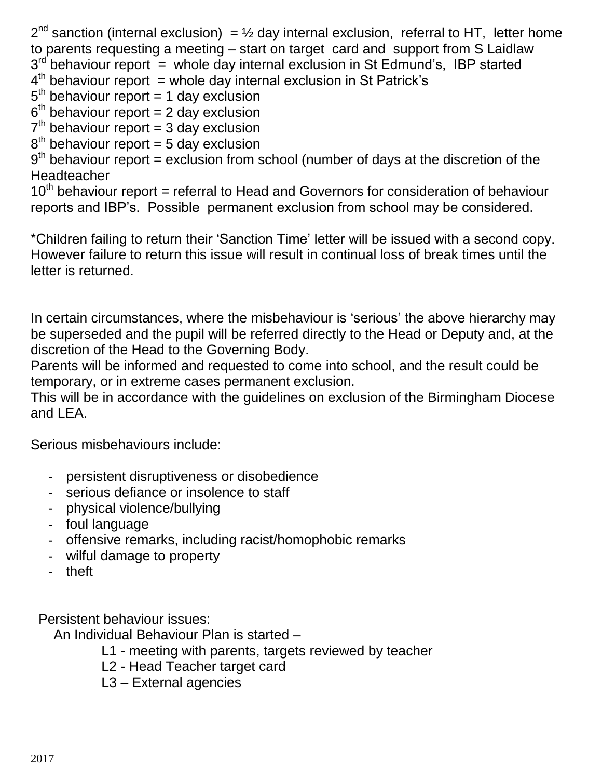$2^{nd}$  sanction (internal exclusion) =  $\frac{1}{2}$  day internal exclusion, referral to HT, letter home to parents requesting a meeting – start on target card and support from S Laidlaw 3<sup>rd</sup> behaviour report = whole day internal exclusion in St Edmund's, IBP started  $4<sup>th</sup>$  behaviour report = whole day internal exclusion in St Patrick's  $5<sup>th</sup>$  behaviour report = 1 day exclusion  $6<sup>th</sup>$  behaviour report = 2 day exclusion  $7<sup>th</sup>$  behaviour report = 3 day exclusion  $8<sup>th</sup>$  behaviour report = 5 day exclusion

 $9<sup>th</sup>$  behaviour report = exclusion from school (number of days at the discretion of the Headteacher

 $10<sup>th</sup>$  behaviour report = referral to Head and Governors for consideration of behaviour reports and IBP"s. Possible permanent exclusion from school may be considered.

\*Children failing to return their "Sanction Time" letter will be issued with a second copy. However failure to return this issue will result in continual loss of break times until the letter is returned.

In certain circumstances, where the misbehaviour is 'serious' the above hierarchy may be superseded and the pupil will be referred directly to the Head or Deputy and, at the discretion of the Head to the Governing Body.

Parents will be informed and requested to come into school, and the result could be temporary, or in extreme cases permanent exclusion.

This will be in accordance with the guidelines on exclusion of the Birmingham Diocese and LEA.

Serious misbehaviours include:

- persistent disruptiveness or disobedience
- serious defiance or insolence to staff
- physical violence/bullying
- foul language
- offensive remarks, including racist/homophobic remarks
- wilful damage to property
- theft

Persistent behaviour issues:

An Individual Behaviour Plan is started –

- L1 meeting with parents, targets reviewed by teacher
- L2 Head Teacher target card
- L3 External agencies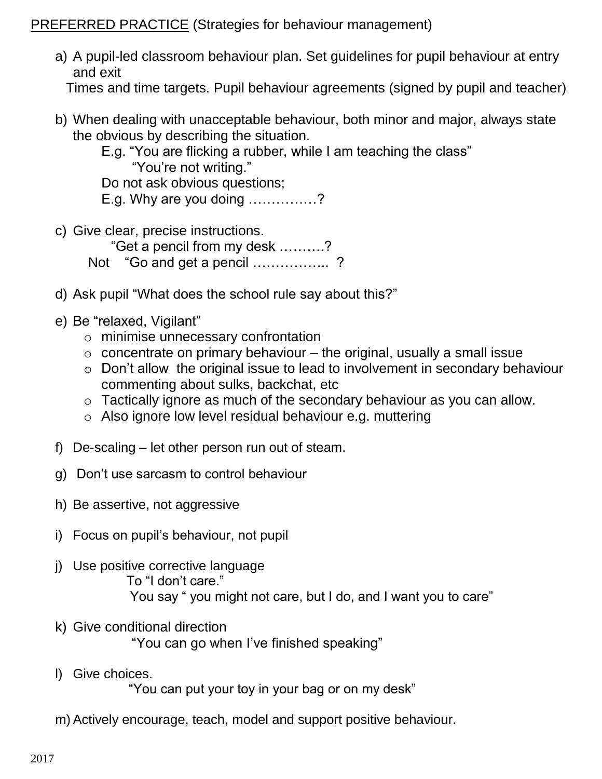PREFERRED PRACTICE (Strategies for behaviour management)

a) A pupil-led classroom behaviour plan. Set guidelines for pupil behaviour at entry and exit

Times and time targets. Pupil behaviour agreements (signed by pupil and teacher)

- b) When dealing with unacceptable behaviour, both minor and major, always state the obvious by describing the situation.
	- E.g. "You are flicking a rubber, while I am teaching the class" "You"re not writing."

Do not ask obvious questions;

E.g. Why are you doing ……………?

- c) Give clear, precise instructions. "Get a pencil from my desk ……….? Not "Go and get a pencil .................?
- d) Ask pupil "What does the school rule say about this?"
- e) Be "relaxed, Vigilant"
	- o minimise unnecessary confrontation
	- $\circ$  concentrate on primary behaviour the original, usually a small issue
	- o Don"t allow the original issue to lead to involvement in secondary behaviour commenting about sulks, backchat, etc
	- o Tactically ignore as much of the secondary behaviour as you can allow.
	- o Also ignore low level residual behaviour e.g. muttering
- f) De-scaling let other person run out of steam.
- g) Don"t use sarcasm to control behaviour
- h) Be assertive, not aggressive
- i) Focus on pupil"s behaviour, not pupil
- j) Use positive corrective language To "I don"t care." You say " you might not care, but I do, and I want you to care"
- k) Give conditional direction "You can go when I've finished speaking"
- l) Give choices. "You can put your toy in your bag or on my desk"
- m)Actively encourage, teach, model and support positive behaviour.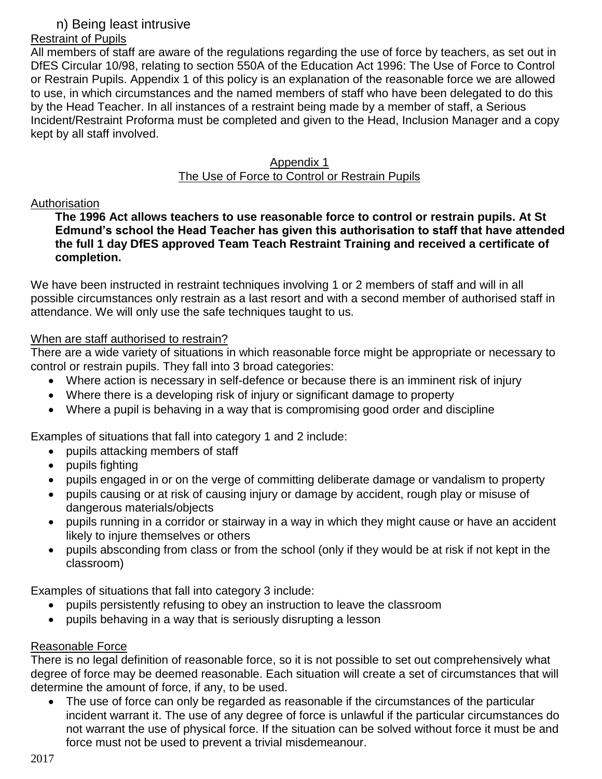#### n) Being least intrusive

#### Restraint of Pupils

All members of staff are aware of the regulations regarding the use of force by teachers, as set out in DfES Circular 10/98, relating to section 550A of the Education Act 1996: The Use of Force to Control or Restrain Pupils. Appendix 1 of this policy is an explanation of the reasonable force we are allowed to use, in which circumstances and the named members of staff who have been delegated to do this by the Head Teacher. In all instances of a restraint being made by a member of staff, a Serious Incident/Restraint Proforma must be completed and given to the Head, Inclusion Manager and a copy kept by all staff involved.

#### Appendix 1 The Use of Force to Control or Restrain Pupils

#### Authorisation

#### **The 1996 Act allows teachers to use reasonable force to control or restrain pupils. At St Edmund's school the Head Teacher has given this authorisation to staff that have attended the full 1 day DfES approved Team Teach Restraint Training and received a certificate of completion.**

We have been instructed in restraint techniques involving 1 or 2 members of staff and will in all possible circumstances only restrain as a last resort and with a second member of authorised staff in attendance. We will only use the safe techniques taught to us.

#### When are staff authorised to restrain?

There are a wide variety of situations in which reasonable force might be appropriate or necessary to control or restrain pupils. They fall into 3 broad categories:

- Where action is necessary in self-defence or because there is an imminent risk of injury
- Where there is a developing risk of injury or significant damage to property
- Where a pupil is behaving in a way that is compromising good order and discipline

Examples of situations that fall into category 1 and 2 include:

- pupils attacking members of staff
- pupils fighting
- pupils engaged in or on the verge of committing deliberate damage or vandalism to property
- pupils causing or at risk of causing injury or damage by accident, rough play or misuse of dangerous materials/objects
- pupils running in a corridor or stairway in a way in which they might cause or have an accident likely to injure themselves or others
- pupils absconding from class or from the school (only if they would be at risk if not kept in the classroom)

Examples of situations that fall into category 3 include:

- pupils persistently refusing to obey an instruction to leave the classroom
- pupils behaving in a way that is seriously disrupting a lesson

#### Reasonable Force

There is no legal definition of reasonable force, so it is not possible to set out comprehensively what degree of force may be deemed reasonable. Each situation will create a set of circumstances that will determine the amount of force, if any, to be used.

 The use of force can only be regarded as reasonable if the circumstances of the particular incident warrant it. The use of any degree of force is unlawful if the particular circumstances do not warrant the use of physical force. If the situation can be solved without force it must be and force must not be used to prevent a trivial misdemeanour.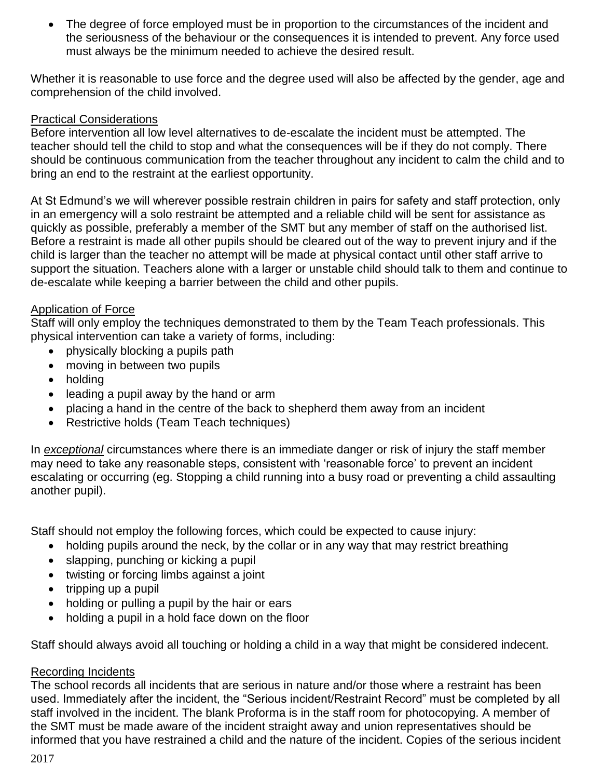The degree of force employed must be in proportion to the circumstances of the incident and the seriousness of the behaviour or the consequences it is intended to prevent. Any force used must always be the minimum needed to achieve the desired result.

Whether it is reasonable to use force and the degree used will also be affected by the gender, age and comprehension of the child involved.

#### Practical Considerations

Before intervention all low level alternatives to de-escalate the incident must be attempted. The teacher should tell the child to stop and what the consequences will be if they do not comply. There should be continuous communication from the teacher throughout any incident to calm the child and to bring an end to the restraint at the earliest opportunity.

At St Edmund"s we will wherever possible restrain children in pairs for safety and staff protection, only in an emergency will a solo restraint be attempted and a reliable child will be sent for assistance as quickly as possible, preferably a member of the SMT but any member of staff on the authorised list. Before a restraint is made all other pupils should be cleared out of the way to prevent injury and if the child is larger than the teacher no attempt will be made at physical contact until other staff arrive to support the situation. Teachers alone with a larger or unstable child should talk to them and continue to de-escalate while keeping a barrier between the child and other pupils.

#### Application of Force

Staff will only employ the techniques demonstrated to them by the Team Teach professionals. This physical intervention can take a variety of forms, including:

- physically blocking a pupils path
- moving in between two pupils
- holding
- leading a pupil away by the hand or arm
- placing a hand in the centre of the back to shepherd them away from an incident
- Restrictive holds (Team Teach techniques)

In *exceptional* circumstances where there is an immediate danger or risk of injury the staff member may need to take any reasonable steps, consistent with "reasonable force" to prevent an incident escalating or occurring (eg. Stopping a child running into a busy road or preventing a child assaulting another pupil).

Staff should not employ the following forces, which could be expected to cause injury:

- holding pupils around the neck, by the collar or in any way that may restrict breathing
- slapping, punching or kicking a pupil
- twisting or forcing limbs against a joint
- $\bullet$  tripping up a pupil
- holding or pulling a pupil by the hair or ears
- holding a pupil in a hold face down on the floor

Staff should always avoid all touching or holding a child in a way that might be considered indecent.

#### Recording Incidents

The school records all incidents that are serious in nature and/or those where a restraint has been used. Immediately after the incident, the "Serious incident/Restraint Record" must be completed by all staff involved in the incident. The blank Proforma is in the staff room for photocopying. A member of the SMT must be made aware of the incident straight away and union representatives should be informed that you have restrained a child and the nature of the incident. Copies of the serious incident